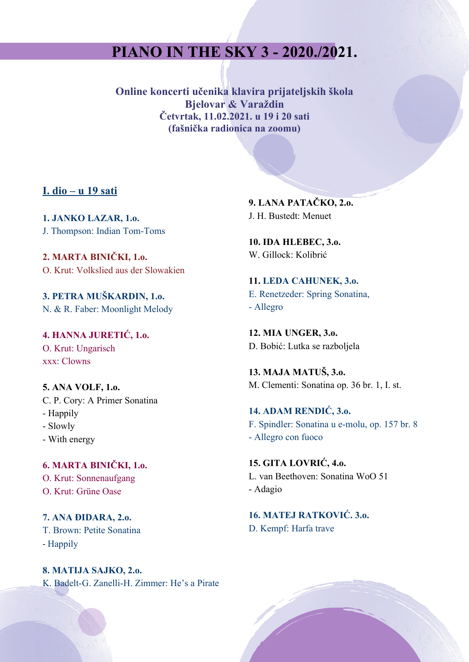## **PIANO IN THE SKY 3 - 2020./2021.**

**Online koncerti učenika klavira prijateljskih škola Bjelovar & Varaždin Četvrtak, 11.02.2021. u 19 i 20 sati (fašnička radionica na zoomu)**

## **I. dio – u 19 sati**

**1. JANKO LAZAR, 1.o.** J. Thompson: Indian Tom-Toms

**2. MARTA BINIČKI, 1.o.** O. Krut: Volkslied aus der Slowakien

**3. PETRA MUŠKARDIN, 1.o.** N. & R. Faber: Moonlight Melody

**4. HANNA JURETIĆ, 1.o.** O. Krut: Ungarisch xxx: Clowns

**5. ANA VOLF, 1.o.** C. P. Cory: A Primer Sonatina - Happily

- Slowly
- With energy

**6. MARTA BINIČKI, 1.o.** O. Krut: Sonnenaufgang O. Krut: Grüne Oase

**7. ANA ĐIDARA, 2.o.** T. Brown: Petite Sonatina - Happily

**8. MATIJA SAJKO, 2.o.** K. Badelt-G. Zanelli-H. Zimmer: He's a Pirate **9. LANA PATAČKO, 2.o.**  J. H. Bustedt: Menuet

**10. IDA HLEBEC, 3.o.** W. Gillock: Kolibrić

**11. LEDA CAHUNEK, 3.o.** E. Renetzeder: Spring Sonatina, - Allegro

**12. MIA UNGER, 3.o.** D. Bobić: Lutka se razboljela

**13. MAJA MATUŠ, 3.o.** M. Clementi: Sonatina op. 36 br. 1, I. st.

**14. ADAM RENDIĆ, 3.o.** F. Spindler: Sonatina u e-molu, op. 157 br. 8 - Allegro con fuoco

**15. GITA LOVRIĆ, 4.o.** L. van Beethoven: Sonatina WoO 51 - Adagio

**16. MATEJ RATKOVIĆ. 3.o.** D. Kempf: Harfa trave